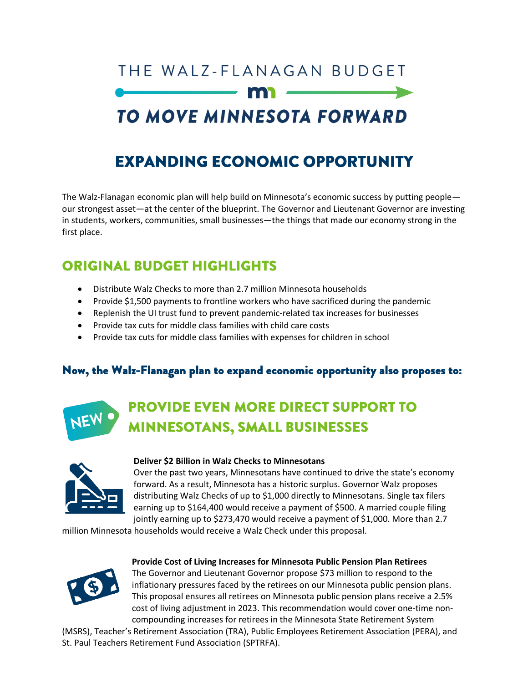# THE WALZ-FLANAGAN BUDGET

# TO MOVE MINNESOTA FORWARD

## **EXPANDING ECONOMIC OPPORTUNITY**

The Walz-Flanagan economic plan will help build on Minnesota's economic success by putting people our strongest asset—at the center of the blueprint. The Governor and Lieutenant Governor are investing in students, workers, communities, small businesses—the things that made our economy strong in the first place.

## **ORIGINAL BUDGET HIGHLIGHTS**

- Distribute Walz Checks to more than 2.7 million Minnesota households
- Provide \$1,500 payments to frontline workers who have sacrificed during the pandemic
- Replenish the UI trust fund to prevent pandemic-related tax increases for businesses
- Provide tax cuts for middle class families with child care costs
- Provide tax cuts for middle class families with expenses for children in school

### Now, the Walz-Flanagan plan to expand economic opportunity also proposes to:

## **PROVIDE EVEN MORE DIRECT SUPPORT TO MINNESOTANS, SMALL BUSINESSES**



#### **Deliver \$2 Billion in Walz Checks to Minnesotans**

Over the past two years, Minnesotans have continued to drive the state's economy forward. As a result, Minnesota has a historic surplus. Governor Walz proposes distributing Walz Checks of up to \$1,000 directly to Minnesotans. Single tax filers earning up to \$164,400 would receive a payment of \$500. A married couple filing jointly earning up to \$273,470 would receive a payment of \$1,000. More than 2.7

million Minnesota households would receive a Walz Check under this proposal.



#### **Provide Cost of Living Increases for Minnesota Public Pension Plan Retirees**

The Governor and Lieutenant Governor propose \$73 million to respond to the inflationary pressures faced by the retirees on our Minnesota public pension plans. This proposal ensures all retirees on Minnesota public pension plans receive a 2.5% cost of living adjustment in 2023. This recommendation would cover one-time noncompounding increases for retirees in the Minnesota State Retirement System

(MSRS), Teacher's Retirement Association (TRA), Public Employees Retirement Association (PERA), and St. Paul Teachers Retirement Fund Association (SPTRFA).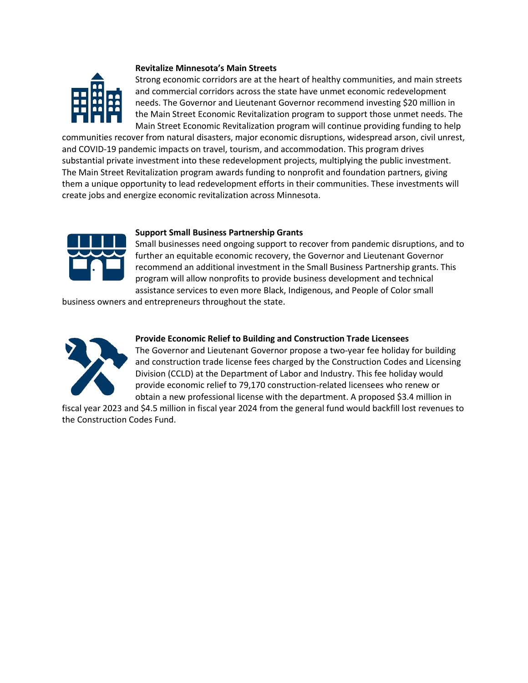

#### **Revitalize Minnesota's Main Streets**

Strong economic corridors are at the heart of healthy communities, and main streets and commercial corridors across the state have unmet economic redevelopment needs. The Governor and Lieutenant Governor recommend investing \$20 million in the Main Street Economic Revitalization program to support those unmet needs. The Main Street Economic Revitalization program will continue providing funding to help

communities recover from natural disasters, major economic disruptions, widespread arson, civil unrest, and COVID-19 pandemic impacts on travel, tourism, and accommodation. This program drives substantial private investment into these redevelopment projects, multiplying the public investment. The Main Street Revitalization program awards funding to nonprofit and foundation partners, giving them a unique opportunity to lead redevelopment efforts in their communities. These investments will create jobs and energize economic revitalization across Minnesota.



#### **Support Small Business Partnership Grants**

Small businesses need ongoing support to recover from pandemic disruptions, and to further an equitable economic recovery, the Governor and Lieutenant Governor recommend an additional investment in the Small Business Partnership grants. This program will allow nonprofits to provide business development and technical assistance services to even more Black, Indigenous, and People of Color small

business owners and entrepreneurs throughout the state.



#### **Provide Economic Relief to Building and Construction Trade Licensees**

The Governor and Lieutenant Governor propose a two-year fee holiday for building and construction trade license fees charged by the Construction Codes and Licensing Division (CCLD) at the Department of Labor and Industry. This fee holiday would provide economic relief to 79,170 construction-related licensees who renew or obtain a new professional license with the department. A proposed \$3.4 million in

fiscal year 2023 and \$4.5 million in fiscal year 2024 from the general fund would backfill lost revenues to the Construction Codes Fund.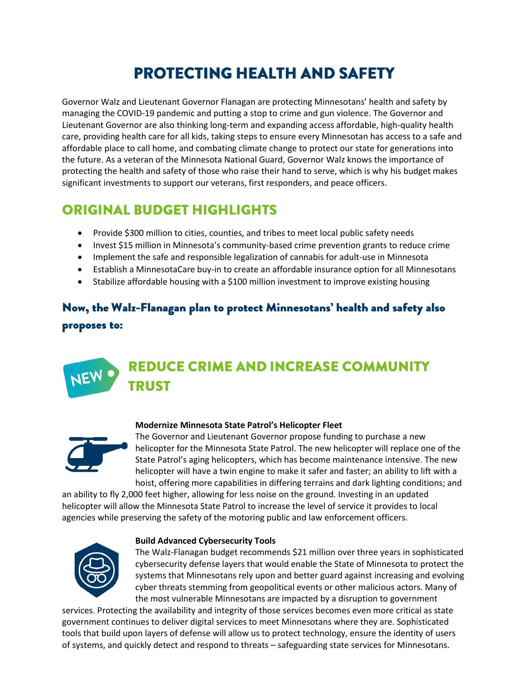## **PROTECTING HEALTH AND SAFETY**

Governor Walz and Lieutenant Governor Flanagan are protecting Minnesotans' health and safety by managing the COVID-19 pandemic and putting a stop to crime and gun violence. The Governor and Lieutenant Governor are also thinking long-term and expanding access affordable, high-quality health care, providing health care for all kids, taking steps to ensure every Minnesotan has access to a safe and affordable place to call home, and combating climate change to protect our state for generations into the future. As a veteran of the Minnesota National Guard, Governor Walz knows the importance of protecting the health and safety of those who raise their hand to serve, which is why his budget makes significant investments to support our veterans, first responders, and peace officers.

### **ORIGINAL BUDGET HIGHLIGHTS**

- Provide \$300 million to cities, counties, and tribes to meet local public safety needs
- Invest \$15 million in Minnesota's community-based crime prevention grants to reduce crime
- Implement the safe and responsible legalization of cannabis for adult-use in Minnesota
- Establish a MinnesotaCare buy-in to create an affordable insurance option for all Minnesotans
- Stabilize affordable housing with a \$100 million investment to improve existing housing

### Now, the Walz-Flanagan plan to protect Minnesotans' health and safety also proposes to:

#### **REDUCE CRIME AND INCREASE COMMUNITY** NEV **TRUST**



#### **Modernize Minnesota State Patrol's Helicopter Fleet**

The Governor and Lieutenant Governor propose funding to purchase a new helicopter for the Minnesota State Patrol. The new helicopter will replace one of the State Patrol's aging helicopters, which has become maintenance intensive. The new helicopter will have a twin engine to make it safer and faster; an ability to lift with a hoist, offering more capabilities in differing terrains and dark lighting conditions; and

an ability to fly 2,000 feet higher, allowing for less noise on the ground. Investing in an updated helicopter will allow the Minnesota State Patrol to increase the level of service it provides to local agencies while preserving the safety of the motoring public and law enforcement officers.



#### **Build Advanced Cybersecurity Tools**

The Walz-Flanagan budget recommends \$21 million over three years in sophisticated cybersecurity defense layers that would enable the State of Minnesota to protect the systems that Minnesotans rely upon and better guard against increasing and evolving cyber threats stemming from geopolitical events or other malicious actors. Many of the most vulnerable Minnesotans are impacted by a disruption to government

services. Protecting the availability and integrity of those services becomes even more critical as state government continues to deliver digital services to meet Minnesotans where they are. Sophisticated tools that build upon layers of defense will allow us to protect technology, ensure the identity of users of systems, and quickly detect and respond to threats – safeguarding state services for Minnesotans.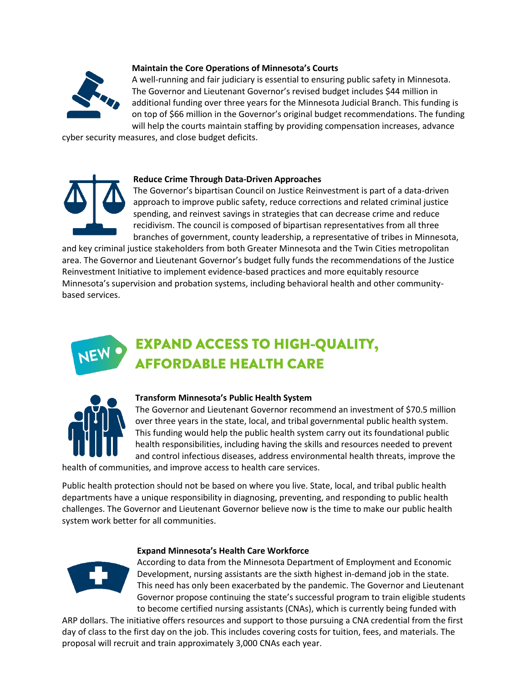

#### **Maintain the Core Operations of Minnesota's Courts**

A well-running and fair judiciary is essential to ensuring public safety in Minnesota. The Governor and Lieutenant Governor's revised budget includes \$44 million in additional funding over three years for the Minnesota Judicial Branch. This funding is on top of \$66 million in the Governor's original budget recommendations. The funding will help the courts maintain staffing by providing compensation increases, advance

cyber security measures, and close budget deficits.



#### **Reduce Crime Through Data-Driven Approaches**

The Governor's bipartisan Council on Justice Reinvestment is part of a data-driven approach to improve public safety, reduce corrections and related criminal justice spending, and reinvest savings in strategies that can decrease crime and reduce recidivism. The council is composed of bipartisan representatives from all three branches of government, county leadership, a representative of tribes in Minnesota,

and key criminal justice stakeholders from both Greater Minnesota and the Twin Cities metropolitan area. The Governor and Lieutenant Governor's budget fully funds the recommendations of the Justice Reinvestment Initiative to implement evidence-based practices and more equitably resource Minnesota's supervision and probation systems, including behavioral health and other communitybased services.

## **EXPAND ACCESS TO HIGH-QUALITY, AFFORDABLE HEALTH CARE**



#### **Transform Minnesota's Public Health System**

The Governor and Lieutenant Governor recommend an investment of \$70.5 million over three years in the state, local, and tribal governmental public health system. This funding would help the public health system carry out its foundational public health responsibilities, including having the skills and resources needed to prevent and control infectious diseases, address environmental health threats, improve the

health of communities, and improve access to health care services.

Public health protection should not be based on where you live. State, local, and tribal public health departments have a unique responsibility in diagnosing, preventing, and responding to public health challenges. The Governor and Lieutenant Governor believe now is the time to make our public health system work better for all communities.

#### **Expand Minnesota's Health Care Workforce**

According to data from the Minnesota Department of Employment and Economic Development, nursing assistants are the sixth highest in-demand job in the state. This need has only been exacerbated by the pandemic. The Governor and Lieutenant Governor propose continuing the state's successful program to train eligible students to become certified nursing assistants (CNAs), which is currently being funded with

ARP dollars. The initiative offers resources and support to those pursuing a CNA credential from the first day of class to the first day on the job. This includes covering costs for tuition, fees, and materials. The proposal will recruit and train approximately 3,000 CNAs each year.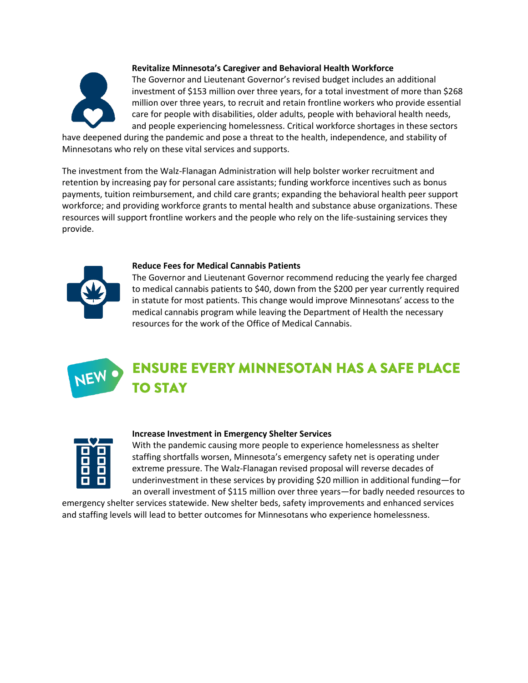

#### **Revitalize Minnesota's Caregiver and Behavioral Health Workforce**

The Governor and Lieutenant Governor's revised budget includes an additional investment of \$153 million over three years, for a total investment of more than \$268 million over three years, to recruit and retain frontline workers who provide essential care for people with disabilities, older adults, people with behavioral health needs, and people experiencing homelessness. Critical workforce shortages in these sectors

have deepened during the pandemic and pose a threat to the health, independence, and stability of Minnesotans who rely on these vital services and supports.

The investment from the Walz-Flanagan Administration will help bolster worker recruitment and retention by increasing pay for personal care assistants; funding workforce incentives such as bonus payments, tuition reimbursement, and child care grants; expanding the behavioral health peer support workforce; and providing workforce grants to mental health and substance abuse organizations. These resources will support frontline workers and the people who rely on the life-sustaining services they provide.



#### **Reduce Fees for Medical Cannabis Patients**

The Governor and Lieutenant Governor recommend reducing the yearly fee charged to medical cannabis patients to \$40, down from the \$200 per year currently required in statute for most patients. This change would improve Minnesotans' access to the medical cannabis program while leaving the Department of Health the necessary resources for the work of the Office of Medical Cannabis.

## **ENSURE EVERY MINNESOTAN HAS A SAFE PLACE TO STAY**

#### **Increase Investment in Emergency Shelter Services**

With the pandemic causing more people to experience homelessness as shelter staffing shortfalls worsen, Minnesota's emergency safety net is operating under extreme pressure. The Walz-Flanagan revised proposal will reverse decades of underinvestment in these services by providing \$20 million in additional funding—for an overall investment of \$115 million over three years—for badly needed resources to

emergency shelter services statewide. New shelter beds, safety improvements and enhanced services and staffing levels will lead to better outcomes for Minnesotans who experience homelessness.